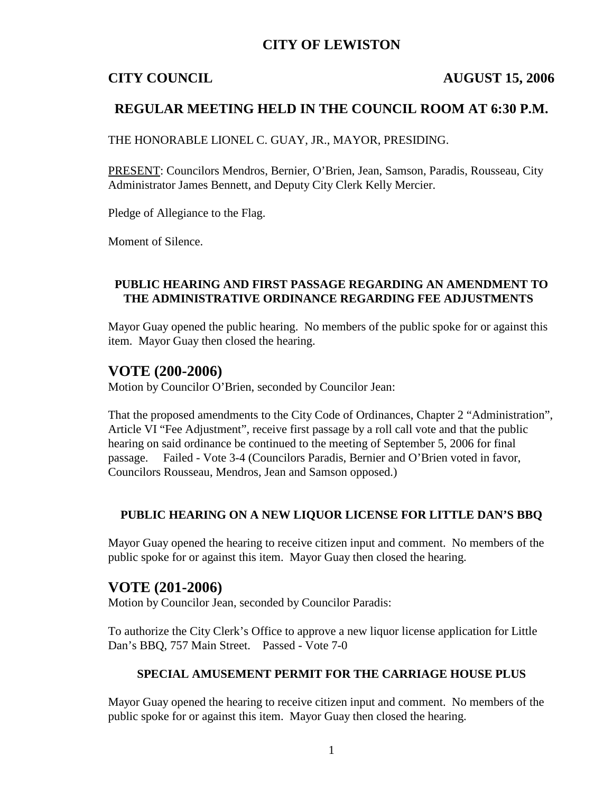## **CITY OF LEWISTON**

### **CITY COUNCIL AUGUST 15, 2006**

## **REGULAR MEETING HELD IN THE COUNCIL ROOM AT 6:30 P.M.**

THE HONORABLE LIONEL C. GUAY, JR., MAYOR, PRESIDING.

PRESENT: Councilors Mendros, Bernier, O'Brien, Jean, Samson, Paradis, Rousseau, City Administrator James Bennett, and Deputy City Clerk Kelly Mercier.

Pledge of Allegiance to the Flag.

Moment of Silence.

#### **PUBLIC HEARING AND FIRST PASSAGE REGARDING AN AMENDMENT TO THE ADMINISTRATIVE ORDINANCE REGARDING FEE ADJUSTMENTS**

Mayor Guay opened the public hearing. No members of the public spoke for or against this item. Mayor Guay then closed the hearing.

## **VOTE (200-2006)**

Motion by Councilor O'Brien, seconded by Councilor Jean:

That the proposed amendments to the City Code of Ordinances, Chapter 2 "Administration", Article VI "Fee Adjustment", receive first passage by a roll call vote and that the public hearing on said ordinance be continued to the meeting of September 5, 2006 for final passage. Failed - Vote 3-4 (Councilors Paradis, Bernier and O'Brien voted in favor, Councilors Rousseau, Mendros, Jean and Samson opposed.)

### **PUBLIC HEARING ON A NEW LIQUOR LICENSE FOR LITTLE DAN'S BBQ**

Mayor Guay opened the hearing to receive citizen input and comment. No members of the public spoke for or against this item. Mayor Guay then closed the hearing.

## **VOTE (201-2006)**

Motion by Councilor Jean, seconded by Councilor Paradis:

To authorize the City Clerk's Office to approve a new liquor license application for Little Dan's BBQ, 757 Main Street. Passed - Vote 7-0

#### **SPECIAL AMUSEMENT PERMIT FOR THE CARRIAGE HOUSE PLUS**

Mayor Guay opened the hearing to receive citizen input and comment. No members of the public spoke for or against this item. Mayor Guay then closed the hearing.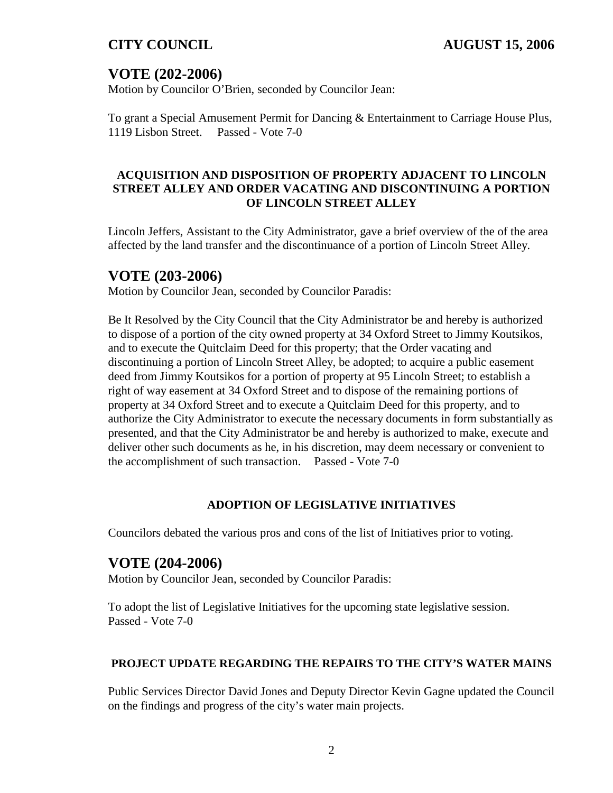# **VOTE (202-2006)**

Motion by Councilor O'Brien, seconded by Councilor Jean:

To grant a Special Amusement Permit for Dancing & Entertainment to Carriage House Plus, 1119 Lisbon Street. Passed - Vote 7-0

## **ACQUISITION AND DISPOSITION OF PROPERTY ADJACENT TO LINCOLN STREET ALLEY AND ORDER VACATING AND DISCONTINUING A PORTION OF LINCOLN STREET ALLEY**

Lincoln Jeffers, Assistant to the City Administrator, gave a brief overview of the of the area affected by the land transfer and the discontinuance of a portion of Lincoln Street Alley.

# **VOTE (203-2006)**

Motion by Councilor Jean, seconded by Councilor Paradis:

Be It Resolved by the City Council that the City Administrator be and hereby is authorized to dispose of a portion of the city owned property at 34 Oxford Street to Jimmy Koutsikos, and to execute the Quitclaim Deed for this property; that the Order vacating and discontinuing a portion of Lincoln Street Alley, be adopted; to acquire a public easement deed from Jimmy Koutsikos for a portion of property at 95 Lincoln Street; to establish a right of way easement at 34 Oxford Street and to dispose of the remaining portions of property at 34 Oxford Street and to execute a Quitclaim Deed for this property, and to authorize the City Administrator to execute the necessary documents in form substantially as presented, and that the City Administrator be and hereby is authorized to make, execute and deliver other such documents as he, in his discretion, may deem necessary or convenient to the accomplishment of such transaction. Passed - Vote 7-0

### **ADOPTION OF LEGISLATIVE INITIATIVES**

Councilors debated the various pros and cons of the list of Initiatives prior to voting.

# **VOTE (204-2006)**

Motion by Councilor Jean, seconded by Councilor Paradis:

To adopt the list of Legislative Initiatives for the upcoming state legislative session. Passed - Vote 7-0

### **PROJECT UPDATE REGARDING THE REPAIRS TO THE CITY'S WATER MAINS**

Public Services Director David Jones and Deputy Director Kevin Gagne updated the Council on the findings and progress of the city's water main projects.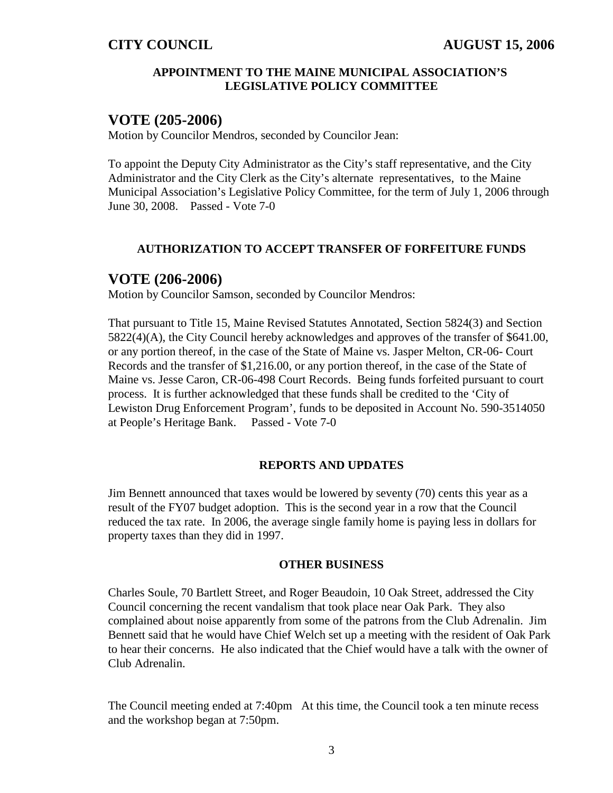#### **APPOINTMENT TO THE MAINE MUNICIPAL ASSOCIATION'S LEGISLATIVE POLICY COMMITTEE**

## **VOTE (205-2006)**

Motion by Councilor Mendros, seconded by Councilor Jean:

To appoint the Deputy City Administrator as the City's staff representative, and the City Administrator and the City Clerk as the City's alternate representatives, to the Maine Municipal Association's Legislative Policy Committee, for the term of July 1, 2006 through June 30, 2008. Passed - Vote 7-0

#### **AUTHORIZATION TO ACCEPT TRANSFER OF FORFEITURE FUNDS**

## **VOTE (206-2006)**

Motion by Councilor Samson, seconded by Councilor Mendros:

That pursuant to Title 15, Maine Revised Statutes Annotated, Section 5824(3) and Section 5822(4)(A), the City Council hereby acknowledges and approves of the transfer of \$641.00, or any portion thereof, in the case of the State of Maine vs. Jasper Melton, CR-06- Court Records and the transfer of \$1,216.00, or any portion thereof, in the case of the State of Maine vs. Jesse Caron, CR-06-498 Court Records. Being funds forfeited pursuant to court process. It is further acknowledged that these funds shall be credited to the 'City of Lewiston Drug Enforcement Program', funds to be deposited in Account No. 590-3514050 at People's Heritage Bank. Passed - Vote 7-0

#### **REPORTS AND UPDATES**

Jim Bennett announced that taxes would be lowered by seventy (70) cents this year as a result of the FY07 budget adoption. This is the second year in a row that the Council reduced the tax rate. In 2006, the average single family home is paying less in dollars for property taxes than they did in 1997.

#### **OTHER BUSINESS**

Charles Soule, 70 Bartlett Street, and Roger Beaudoin, 10 Oak Street, addressed the City Council concerning the recent vandalism that took place near Oak Park. They also complained about noise apparently from some of the patrons from the Club Adrenalin. Jim Bennett said that he would have Chief Welch set up a meeting with the resident of Oak Park to hear their concerns. He also indicated that the Chief would have a talk with the owner of Club Adrenalin.

The Council meeting ended at 7:40pm At this time, the Council took a ten minute recess and the workshop began at 7:50pm.